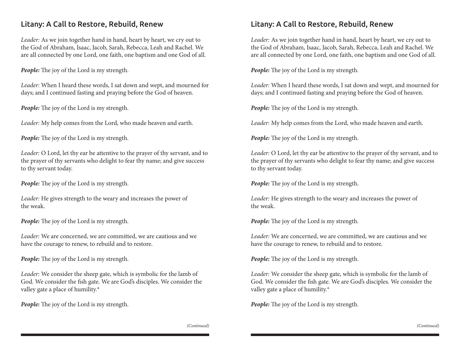## Litany: A Call to Restore, Rebuild, Renew

*Leader:* As we join together hand in hand, heart by heart, we cry out to the God of Abraham, Isaac, Jacob, Sarah, Rebecca, Leah and Rachel. We are all connected by one Lord, one faith, one baptism and one God of all.

*People:* The joy of the Lord is my strength.

*Leader:* When I heard these words, I sat down and wept, and mourned for days; and I continued fasting and praying before the God of heaven.

*People:* The joy of the Lord is my strength.

*Leader:* My help comes from the Lord, who made heaven and earth.

*People:* The joy of the Lord is my strength.

*Leader:* O Lord, let thy ear be attentive to the prayer of thy servant, and to the prayer of thy servants who delight to fear thy name; and give success to thy servant today.

*People:* The joy of the Lord is my strength.

*Leader:* He gives strength to the weary and increases the power of the weak.

*People:* The joy of the Lord is my strength.

*Leader:* We are concerned, we are committed, we are cautious and we have the courage to renew, to rebuild and to restore.

*People:* The joy of the Lord is my strength.

*Leader:* We consider the sheep gate, which is symbolic for the lamb of God. We consider the fish gate. We are God's disciples. We consider the valley gate a place of humility.\*

*People:* The joy of the Lord is my strength.

## Litany: A Call to Restore, Rebuild, Renew

*Leader:* As we join together hand in hand, heart by heart, we cry out to the God of Abraham, Isaac, Jacob, Sarah, Rebecca, Leah and Rachel. We are all connected by one Lord, one faith, one baptism and one God of all.

*People:* The joy of the Lord is my strength.

*Leader:* When I heard these words, I sat down and wept, and mourned for days; and I continued fasting and praying before the God of heaven.

*People:* The joy of the Lord is my strength.

*Leader:* My help comes from the Lord, who made heaven and earth.

*People:* The joy of the Lord is my strength.

*Leader:* O Lord, let thy ear be attentive to the prayer of thy servant, and to the prayer of thy servants who delight to fear thy name; and give success to thy servant today.

*People:* The joy of the Lord is my strength.

*Leader:* He gives strength to the weary and increases the power of the weak.

*People:* The joy of the Lord is my strength.

*Leader:* We are concerned, we are committed, we are cautious and we have the courage to renew, to rebuild and to restore.

*People:* The joy of the Lord is my strength.

*Leader:* We consider the sheep gate, which is symbolic for the lamb of God. We consider the fish gate. We are God's disciples. We consider the valley gate a place of humility.\*

*People:* The joy of the Lord is my strength.